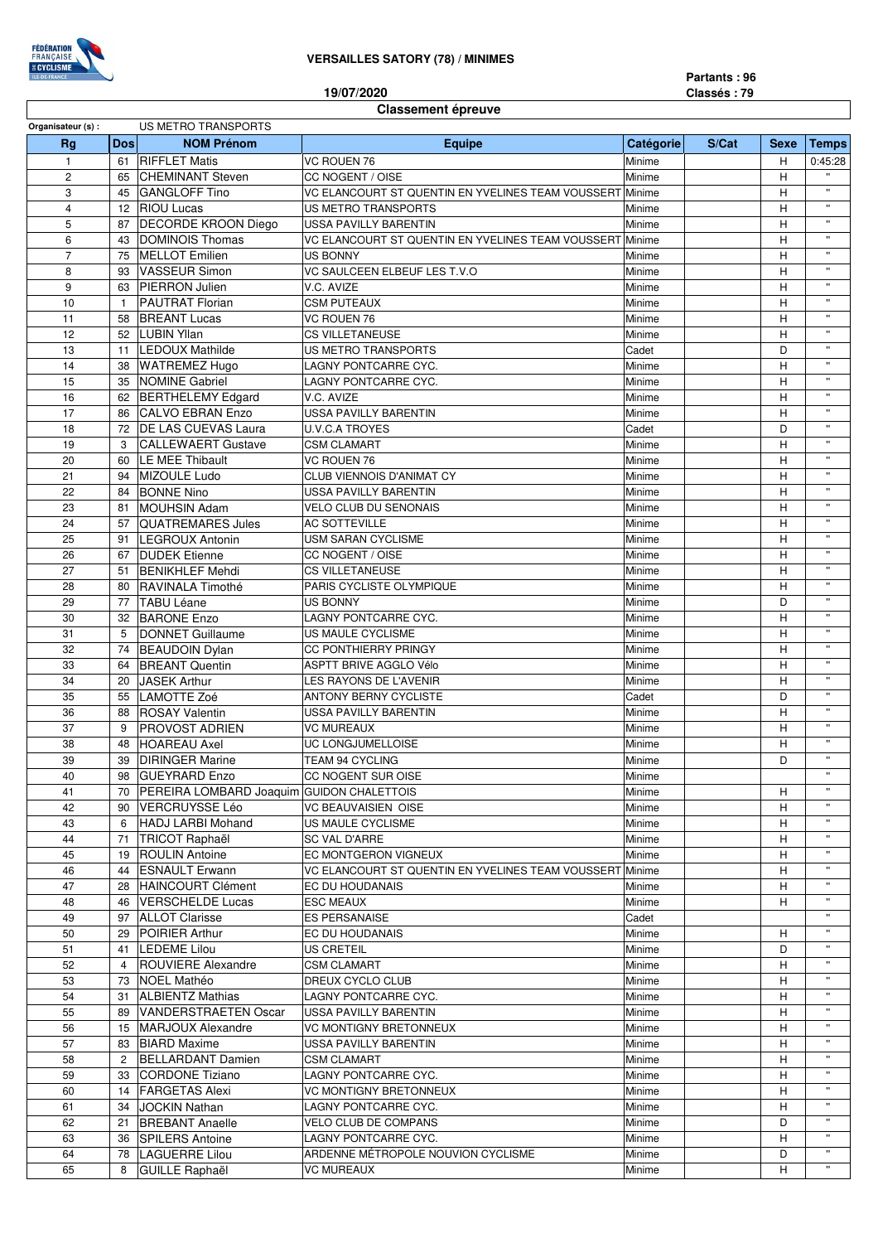

**19/07/2020**

## **Classement épreuve**

| Organisateur (s) : |                | US METRO TRANSPORTS                            |                                                          |           |       |             |                       |
|--------------------|----------------|------------------------------------------------|----------------------------------------------------------|-----------|-------|-------------|-----------------------|
| Rg                 | <b>Dos</b>     | <b>NOM Prénom</b>                              | Equipe                                                   | Catégorie | S/Cat | <b>Sexe</b> | <b>Temps</b>          |
| $\mathbf{1}$       | 61             | <b>RIFFLET Matis</b>                           | VC ROUEN 76                                              | Minime    |       | H           | 0:45:28               |
| $\overline{c}$     | 65             | <b>CHEMINANT Steven</b>                        | CC NOGENT / OISE                                         | Minime    |       | H           |                       |
| 3                  | 45             | <b>GANGLOFF Tino</b>                           | VC ELANCOURT ST QUENTIN EN YVELINES TEAM VOUSSERT Minime |           |       | H           | $\mathbf{u}$          |
| $\overline{4}$     |                | 12 RIOU Lucas                                  | US METRO TRANSPORTS                                      | Minime    |       | н           | $\mathbf{u}$          |
| 5                  | 87             | <b>DECORDE KROON Diego</b>                     | USSA PAVILLY BARENTIN                                    | Minime    |       | н           | $\mathbf{u}$          |
| 6                  | 43             | DOMINOIS Thomas                                | VC ELANCOURT ST QUENTIN EN YVELINES TEAM VOUSSERT Minime |           |       | н           | $\mathbf{u}$          |
| $\overline{7}$     | 75             | <b>MELLOT</b> Emilien                          | <b>US BONNY</b>                                          | Minime    |       | H           | $\mathbf{u}$          |
| 8                  |                | 93 VASSEUR Simon                               | VC SAULCEEN ELBEUF LES T.V.O                             | Minime    |       | н           | $\mathbf{u}$          |
| 9                  | 63             | <b>PIERRON Julien</b>                          | V.C. AVIZE                                               | Minime    |       | н           | $\mathbf{u}$          |
| 10                 | $\mathbf{1}$   | <b>PAUTRAT Florian</b>                         | <b>CSM PUTEAUX</b>                                       | Minime    |       | н           | $\mathbf{u}$          |
| 11                 | 58             | <b>BREANT Lucas</b>                            | VC ROUEN 76                                              | Minime    |       | H           | $\mathbf{u}$          |
| 12                 |                | 52 LUBIN Yllan                                 | <b>CS VILLETANEUSE</b>                                   | Minime    |       | H           | $\mathbf{u}$          |
| 13                 | 11             | <b>LEDOUX Mathilde</b>                         | US METRO TRANSPORTS                                      | Cadet     |       | D           | $\mathbf{u}$          |
| 14                 | 38             | <b>WATREMEZ Hugo</b>                           | LAGNY PONTCARRE CYC.                                     | Minime    |       | н           | $\mathbf{u}$          |
| 15                 | 35             | <b>NOMINE Gabriel</b>                          | LAGNY PONTCARRE CYC.                                     | Minime    |       | н           |                       |
| 16                 |                | 62 BERTHELEMY Edgard                           | V.C. AVIZE                                               | Minime    |       | н           | $\mathbf{u}$          |
| 17                 | 86             | CALVO EBRAN Enzo                               | <b>USSA PAVILLY BARENTIN</b>                             | Minime    |       | H           | $\mathbf{u}$          |
| 18                 |                | 72   DE LAS CUEVAS Laura                       | <b>U.V.C.A TROYES</b>                                    | Cadet     |       | D           |                       |
| 19                 | 3              | <b>CALLEWAERT Gustave</b>                      | <b>CSM CLAMART</b>                                       | Minime    |       | H           | $\mathbf{u}$          |
| 20                 | 60             | LE MEE Thibault                                | VC ROUEN 76                                              | Minime    |       | н           | $\mathbf{u}$          |
|                    |                |                                                |                                                          |           |       |             | $\mathbf{u}$          |
| 21                 | 94             | MIZOULE Ludo                                   | CLUB VIENNOIS D'ANIMAT CY                                | Minime    |       | н           | $\mathbf{u}$          |
| 22                 | 84             | <b>BONNE Nino</b>                              | <b>USSA PAVILLY BARENTIN</b>                             | Minime    |       | н           |                       |
| 23                 | 81             | <b>MOUHSIN Adam</b>                            | <b>VELO CLUB DU SENONAIS</b>                             | Minime    |       | н           |                       |
| 24                 | 57             | <b>QUATREMARES Jules</b>                       | <b>AC SOTTEVILLE</b>                                     | Minime    |       | н           | $\mathbf{u}$          |
| 25                 | 91             | <b>LEGROUX Antonin</b>                         | USM SARAN CYCLISME                                       | Minime    |       | H           | $\mathbf{u}$          |
| 26                 |                | 67 DUDEK Etienne                               | CC NOGENT / OISE                                         | Minime    |       | H           | $\mathbf{u}$          |
| 27                 | 51             | <b>BENIKHLEF Mehdi</b>                         | <b>CS VILLETANEUSE</b>                                   | Minime    |       | н           | $\mathbf{u}$          |
| 28                 | 80             | RAVINALA Timothé                               | PARIS CYCLISTE OLYMPIQUE                                 | Minime    |       | н           | $\mathbf{u}$          |
| 29                 | 77             | <b>TABU Léane</b>                              | US BONNY                                                 | Minime    |       | D           | $\mathbf{u}$          |
| 30                 |                | 32 BARONE Enzo                                 | LAGNY PONTCARRE CYC.                                     | Minime    |       | н           | $\mathbf{u}$          |
| 31                 | 5              | DONNET Guillaume                               | US MAULE CYCLISME                                        | Minime    |       | н           |                       |
|                    |                |                                                |                                                          |           |       |             | $\mathbf{u}$          |
| 32                 | 74             | <b>BEAUDOIN Dylan</b>                          | <b>CC PONTHIERRY PRINGY</b>                              | Minime    |       | н           | $\mathbf{u}$          |
| 33                 | 64             | <b>BREANT Quentin</b>                          | ASPTT BRIVE AGGLO Vélo                                   | Minime    |       | н           |                       |
| 34                 | 20             | <b>JASEK Arthur</b>                            | LES RAYONS DE L'AVENIR                                   | Minime    |       | н           | $\mathbf{u}$          |
| 35                 | 55             | LAMOTTE Zoé                                    | <b>ANTONY BERNY CYCLISTE</b>                             | Cadet     |       | D           | $\mathbf{u}$          |
| 36                 |                | 88 ROSAY Valentin                              | <b>USSA PAVILLY BARENTIN</b>                             | Minime    |       | н           | $\mathbf{u}$          |
| 37                 | 9              | <b>PROVOST ADRIEN</b>                          | <b>VC MUREAUX</b>                                        | Minime    |       | н           | $\mathbf{u}$          |
| 38                 | 48             | <b>HOAREAU Axel</b>                            | UC LONGJUMELLOISE                                        | Minime    |       | н           | $\mathbf{u}$          |
| 39                 | 39             | <b>DIRINGER Marine</b>                         | TEAM 94 CYCLING                                          | Minime    |       | D           | $\mathbf{u}$          |
| 40                 | 98             | <b>GUEYRARD Enzo</b>                           | <b>CC NOGENT SUR OISE</b>                                | Minime    |       |             | $\mathbf{u}$          |
| 41                 |                | 70   PEREIRA LOMBARD Joaquim GUIDON CHALETTOIS |                                                          | Minime    |       | H           | $\mathbf{u}$          |
| 42                 |                | 90   VERCRUYSSE Léo                            | VC BEAUVAISIEN OISE                                      | Minime    |       | H           |                       |
| 43                 | 6              | HADJ LARBI Mohand                              | US MAULE CYCLISME                                        | Minime    |       | н           |                       |
| 44                 |                | 71 TRICOT Raphaël                              | SC VAL D'ARRE                                            | Minime    |       | H           | $\mathbf{u}$          |
| 45                 |                | 19 ROULIN Antoine                              | EC MONTGERON VIGNEUX                                     | Minime    |       | н           | $\mathbf{u}$          |
| 46                 |                | 44 ESNAULT Erwann                              | VC ELANCOURT ST QUENTIN EN YVELINES TEAM VOUSSERT Minime |           |       | H           | $\mathbf{H}$          |
|                    |                |                                                |                                                          |           |       |             |                       |
| 47                 |                | 28 HAINCOURT Clément                           | <b>EC DU HOUDANAIS</b>                                   | Minime    |       | н           | $\mathbf{H}$          |
| 48                 |                | 46   VERSCHELDE Lucas                          | <b>ESC MEAUX</b>                                         | Minime    |       | H           | $\mathbf{u}$          |
| 49                 |                | 97 ALLOT Clarisse                              | <b>ES PERSANAISE</b>                                     | Cadet     |       |             |                       |
| 50                 |                | 29 POIRIER Arthur                              | EC DU HOUDANAIS                                          | Minime    |       | н           | $\mathbf{u}$          |
| 51                 |                | 41   LEDEME Lilou                              | US CRETEIL                                               | Minime    |       | D           |                       |
| 52                 | 4              | <b>ROUVIERE Alexandre</b>                      | <b>CSM CLAMART</b>                                       | Minime    |       | н           | $\mathbf{u}$          |
| 53                 |                | 73   NOEL Mathéo                               | DREUX CYCLO CLUB                                         | Minime    |       | H           | $\mathbf{H}$          |
| 54                 |                | 31 ALBIENTZ Mathias                            | LAGNY PONTCARRE CYC.                                     | Minime    |       | н           | $\mathbf{u}$          |
| 55                 |                | 89 VANDERSTRAETEN Oscar                        | USSA PAVILLY BARENTIN                                    | Minime    |       | H           | $\mathbf{H}$          |
| 56                 |                | 15   MARJOUX Alexandre                         | VC MONTIGNY BRETONNEUX                                   | Minime    |       | н           |                       |
| 57                 |                | 83 BIARD Maxime                                | USSA PAVILLY BARENTIN                                    | Minime    |       | H           | $\mathbf{H}$          |
| 58                 |                |                                                |                                                          |           |       |             | $\mathbf{u}$          |
|                    | $\overline{2}$ | <b>BELLARDANT Damien</b>                       | <b>CSM CLAMART</b>                                       | Minime    |       | н           | $\mathbf{u}$          |
| 59                 |                | 33 CORDONE Tiziano                             | LAGNY PONTCARRE CYC.                                     | Minime    |       | н           |                       |
| 60                 |                | 14 FARGETAS Alexi                              | VC MONTIGNY BRETONNEUX                                   | Minime    |       | H           | $\mathbf{H}$          |
| 61                 |                | 34 JOCKIN Nathan                               | LAGNY PONTCARRE CYC.                                     | Minime    |       | н           |                       |
| 62                 |                | 21 BREBANT Anaelle                             | VELO CLUB DE COMPANS                                     | Minime    |       | D           | $\mathbf{H}$          |
| 63                 |                | 36 SPILERS Antoine                             | LAGNY PONTCARRE CYC.                                     | Minime    |       | н           | $\mathbf{H}$          |
| 64                 |                | 78  LAGUERRE Lilou                             | ARDENNE MÉTROPOLE NOUVION CYCLISME                       | Minime    |       | D           | $\mathbf{H}^{\prime}$ |
| 65                 |                | 8 GUILLE Raphaël                               | VC MUREAUX                                               | Minime    |       | н           | $\mathbf{u}$          |